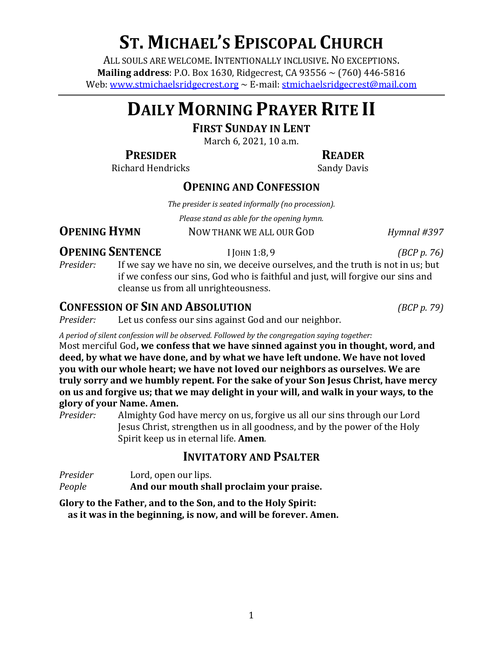# **ST. MICHAEL'S EPISCOPAL CHURCH**

ALL SOULS ARE WELCOME. INTENTIONALLY INCLUSIVE. NO EXCEPTIONS. **Mailing address**: P.O. Box 1630, Ridgecrest, CA 93556  $\sim$  (760) 446-5816 Web: www.stmichaelsridgecrest.org  $\sim$  E-mail: stmichaelsridgecrest@mail.com

# DAILY MORNING PRAYER RITE II

#### **FIRST SUNDAY IN LENT**

March 6, 2021, 10 a.m.

#### **PRESIDER READER**

Richard Hendricks Sandy Davis

## **OPENING AND CONFESSION**

*The presider is seated informally (no procession). Please stand as able for the opening hymn.* 

**OPENING HYMN** NOW THANK WE ALL OUR GOD *Hymnal* #397

#### **OPENING SENTENCE** I JOHN 1:8, 9 *(BCP p. 76)*

*Presider:* If we say we have no sin, we deceive ourselves, and the truth is not in us; but if we confess our sins, God who is faithful and just, will forgive our sins and cleanse us from all unrighteousness.

### **CONFESSION OF SIN AND ABSOLUTION** *(BCP p. 79)*

*Presider:* Let us confess our sins against God and our neighbor.

*A* period of silent confession will be observed. Followed by the congregation saying together:

Most merciful God, we confess that we have sinned against you in thought, word, and deed, by what we have done, and by what we have left undone. We have not loved **you** with our whole heart; we have not loved our neighbors as ourselves. We are truly sorry and we humbly repent. For the sake of your Son Jesus Christ, have mercy on us and forgive us; that we may delight in your will, and walk in your ways, to the **glory of your Name. Amen.**

*Presider:* Almighty God have mercy on us, forgive us all our sins through our Lord Jesus Christ, strengthen us in all goodness, and by the power of the Holy Spirit keep us in eternal life. **Amen**.

# **INVITATORY AND PSALTER**

*Presider* Lord, open our lips. *People* **And our mouth shall proclaim your praise.** 

Glory to the Father, and to the Son, and to the Holy Spirit: as it was in the beginning, is now, and will be forever. Amen.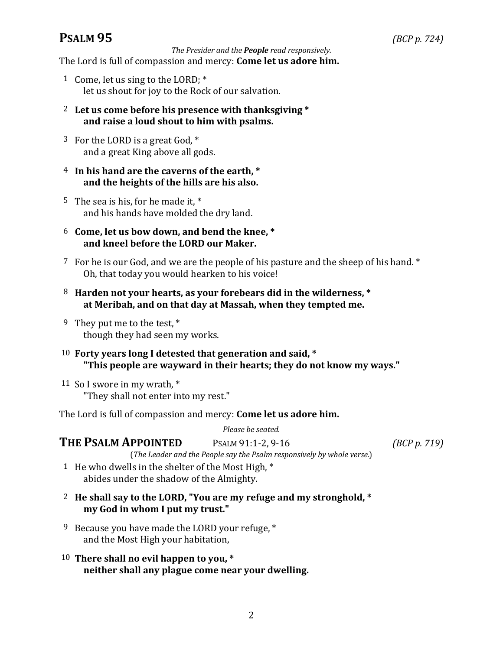# **PSALM 95** *(BCP p. 724)*

*The Presider and the People read responsively.* 

The Lord is full of compassion and mercy: **Come let us adore him.** 

- 1 Come, let us sing to the LORD;  $*$ let us shout for joy to the Rock of our salvation.
- <sup>2</sup> Let us come before his presence with thanksgiving \* and raise a loud shout to him with psalms.
- 3 For the LORD is a great God,  $*$ and a great King above all gods.
- <sup>4</sup> In his hand are the caverns of the earth, \* and the heights of the hills are his also.
- 5 The sea is his, for he made it,  $*$ and his hands have molded the dry land.
- 6 Come, let us bow down, and bend the knee, \* **and kneel before the LORD our Maker.**
- $7$  For he is our God, and we are the people of his pasture and the sheep of his hand.  $*$ Oh, that today you would hearken to his voice!
- 8 Harden not your hearts, as your forebears did in the wilderness, \* at Meribah, and on that day at Massah, when they tempted me.
- 9 They put me to the test,  $*$ though they had seen my works.
- 10 **Forty years long I detested that generation and said,** \* "This people are wayward in their hearts; they do not know my ways."
- 11 So I swore in my wrath,  $*$ "They shall not enter into my rest."

The Lord is full of compassion and mercy: **Come let us adore him.** 

*Please be seated.*

**THE PSALM APPOINTED** PSALM 91:1-2, 9-16 *(BCP p. 719)* 

(The Leader and the People say the Psalm responsively by whole verse.)

- 1 He who dwells in the shelter of the Most High,  $*$ abides under the shadow of the Almighty.
- <sup>2</sup> He shall say to the LORD, "You are my refuge and my stronghold, \* **my God in whom I put my trust."**
- $9$  Because you have made the LORD your refuge,  $*$ and the Most High your habitation,
- 10 There shall no evil happen to you, \* **neither shall any plague come near your dwelling.**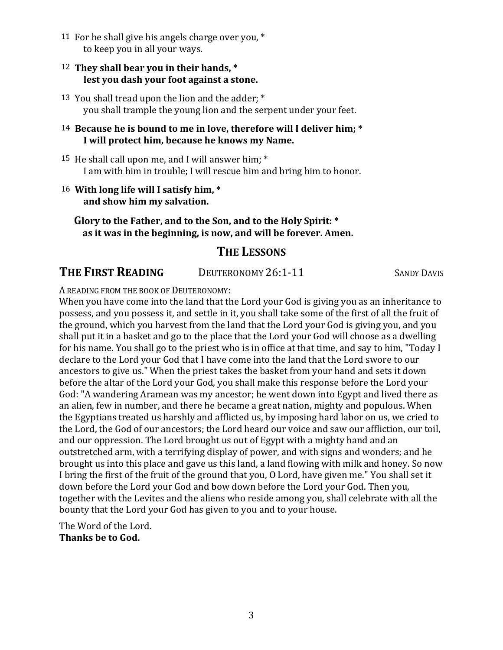- 11 For he shall give his angels charge over you,  $*$ to keep you in all your ways.
- 12 They shall bear you in their hands, \* lest you dash your foot against a stone.
- 13 You shall tread upon the lion and the adder;  $*$ you shall trample the young lion and the serpent under your feet.

#### <sup>14</sup> Because he is bound to me in love, therefore will I deliver him; \* I will protect him, because he knows my Name.

- 15 He shall call upon me, and I will answer him;  $*$ I am with him in trouble; I will rescue him and bring him to honor.
- 16 With long life will I satisfy him, \* and show him my salvation.

Glory to the Father, and to the Son, and to the Holy Spirit: \* as it was in the beginning, is now, and will be forever. Amen.

#### **THE LESSONS**

#### **THE FIRST READING** DEUTERONOMY 26:1-11 SANDY DAVIS

A READING FROM THE BOOK OF DEUTERONOMY:

When you have come into the land that the Lord your God is giving you as an inheritance to possess, and you possess it, and settle in it, you shall take some of the first of all the fruit of the ground, which you harvest from the land that the Lord your God is giving you, and you shall put it in a basket and go to the place that the Lord your God will choose as a dwelling for his name. You shall go to the priest who is in office at that time, and say to him, "Today I declare to the Lord your God that I have come into the land that the Lord swore to our ancestors to give us." When the priest takes the basket from your hand and sets it down before the altar of the Lord your God, you shall make this response before the Lord your God: "A wandering Aramean was my ancestor; he went down into Egypt and lived there as an alien, few in number, and there he became a great nation, mighty and populous. When the Egyptians treated us harshly and afflicted us, by imposing hard labor on us, we cried to the Lord, the God of our ancestors; the Lord heard our voice and saw our affliction, our toil, and our oppression. The Lord brought us out of Egypt with a mighty hand and an outstretched arm, with a terrifying display of power, and with signs and wonders; and he brought us into this place and gave us this land, a land flowing with milk and honey. So now I bring the first of the fruit of the ground that you, O Lord, have given me." You shall set it down before the Lord your God and bow down before the Lord your God. Then you, together with the Levites and the aliens who reside among you, shall celebrate with all the bounty that the Lord your God has given to you and to your house.

The Word of the Lord. **Thanks be to God.**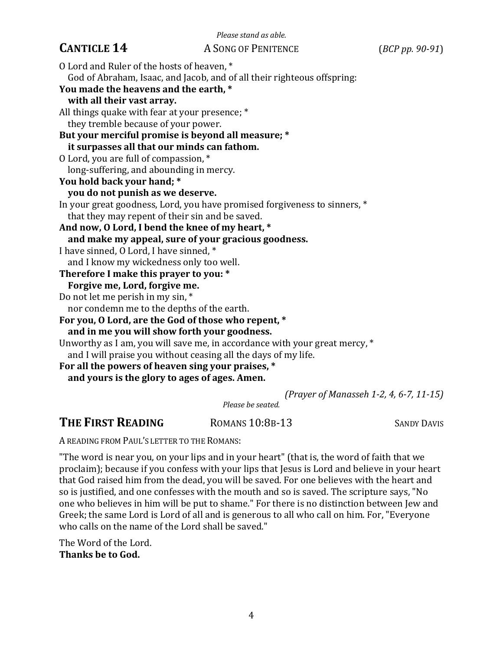#### *Please stand as able.*

**CANTICLE 14** A SONG OF PENITENCE (*BCP pp.* 90-91)

O Lord and Ruler of the hosts of heaven, \* God of Abraham, Isaac, and Jacob, and of all their righteous offspring: You made the heavens and the earth,  $*$ **with all their vast array.** All things quake with fear at your presence;  $*$ they tremble because of your power. But your merciful promise is beyond all measure; \* **it surpasses all that our minds can fathom.** O Lord, you are full of compassion,  $*$ long-suffering, and abounding in mercy. You hold back your hand; \* **you do not punish as we deserve.** In your great goodness, Lord, you have promised forgiveness to sinners, \* that they may repent of their sin and be saved. And now, O Lord, I bend the knee of my heart, \* and make my appeal, sure of your gracious goodness. I have sinned, O Lord, I have sinned, \* and I know my wickedness only too well. Therefore I make this prayer to you: \* Forgive me, Lord, forgive me. Do not let me perish in my sin, \* nor condemn me to the depths of the earth. For you, O Lord, are the God of those who repent, \* and in me you will show forth your goodness. Unworthy as I am, you will save me, in accordance with your great mercy,  $*$ and I will praise you without ceasing all the days of my life. For all the powers of heaven sing your praises, \* and yours is the glory to ages of ages. Amen. *(Prayer of Manasseh 1-2, 4, 6-7, 11-15)*

*Please be seated.*

**THE FIRST READING** ROMANS 10:8B-13 SANDY DAVIS

A READING FROM PAUL'S LETTER TO THE ROMANS:

"The word is near you, on your lips and in your heart" (that is, the word of faith that we proclaim); because if you confess with your lips that Jesus is Lord and believe in your heart that God raised him from the dead, you will be saved. For one believes with the heart and so is justified, and one confesses with the mouth and so is saved. The scripture says, "No one who believes in him will be put to shame." For there is no distinction between Jew and Greek; the same Lord is Lord of all and is generous to all who call on him. For, "Everyone who calls on the name of the Lord shall be saved."

The Word of the Lord. **Thanks be to God.**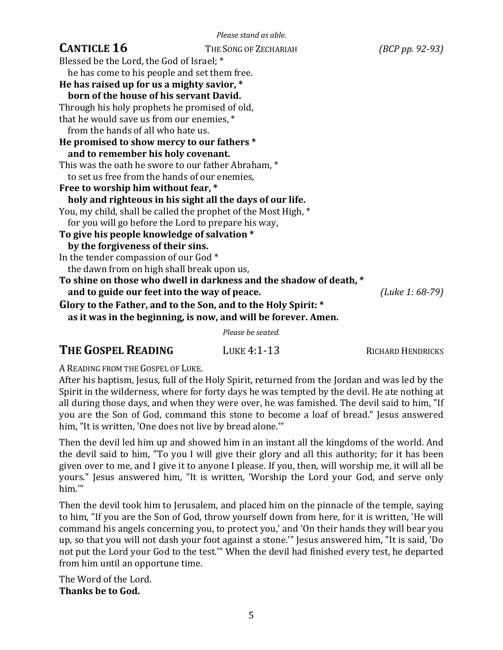|                                                                | Please stand as able.                                              |                 |
|----------------------------------------------------------------|--------------------------------------------------------------------|-----------------|
| <b>CANTICLE 16</b>                                             | THE SONG OF ZECHARIAH                                              | (BCP pp. 92-93) |
| Blessed be the Lord, the God of Israel; *                      |                                                                    |                 |
| he has come to his people and set them free.                   |                                                                    |                 |
| He has raised up for us a mighty savior, *                     |                                                                    |                 |
| born of the house of his servant David.                        |                                                                    |                 |
| Through his holy prophets he promised of old,                  |                                                                    |                 |
| that he would save us from our enemies, *                      |                                                                    |                 |
| from the hands of all who hate us.                             |                                                                    |                 |
| He promised to show mercy to our fathers *                     |                                                                    |                 |
| and to remember his holy covenant.                             |                                                                    |                 |
| This was the oath he swore to our father Abraham, *            |                                                                    |                 |
| to set us free from the hands of our enemies,                  |                                                                    |                 |
| Free to worship him without fear, *                            |                                                                    |                 |
|                                                                | holy and righteous in his sight all the days of our life.          |                 |
|                                                                | You, my child, shall be called the prophet of the Most High, *     |                 |
| for you will go before the Lord to prepare his way,            |                                                                    |                 |
| To give his people knowledge of salvation *                    |                                                                    |                 |
| by the forgiveness of their sins.                              |                                                                    |                 |
| In the tender compassion of our God*                           |                                                                    |                 |
| the dawn from on high shall break upon us,                     |                                                                    |                 |
|                                                                | To shine on those who dwell in darkness and the shadow of death, * |                 |
| and to guide our feet into the way of peace.                   |                                                                    | (Luke 1: 68-79) |
| Glory to the Father, and to the Son, and to the Holy Spirit: * |                                                                    |                 |
|                                                                | as it was in the beginning, is now, and will be forever. Amen.     |                 |

*Please be seated.*

**THE GOSPEL READING** LUKE 4:1-13 RICHARD HENDRICKS

A READING FROM THE GOSPEL OF LUKE.

After his baptism, Jesus, full of the Holy Spirit, returned from the Jordan and was led by the Spirit in the wilderness, where for forty days he was tempted by the devil. He ate nothing at all during those days, and when they were over, he was famished. The devil said to him, "If you are the Son of God, command this stone to become a loaf of bread." Jesus answered him, "It is written, 'One does not live by bread alone.""

Then the devil led him up and showed him in an instant all the kingdoms of the world. And the devil said to him, "To you I will give their glory and all this authority; for it has been given over to me, and I give it to anyone I please. If you, then, will worship me, it will all be yours." Jesus answered him, "It is written, 'Worship the Lord your God, and serve only him.'"

Then the devil took him to Jerusalem, and placed him on the pinnacle of the temple, saying to him, "If you are the Son of God, throw yourself down from here, for it is written, 'He will command his angels concerning you, to protect you,' and 'On their hands they will bear you up, so that you will not dash your foot against a stone."" Jesus answered him, "It is said, 'Do not put the Lord your God to the test." When the devil had finished every test, he departed from him until an opportune time.

The Word of the Lord. **Thanks be to God.**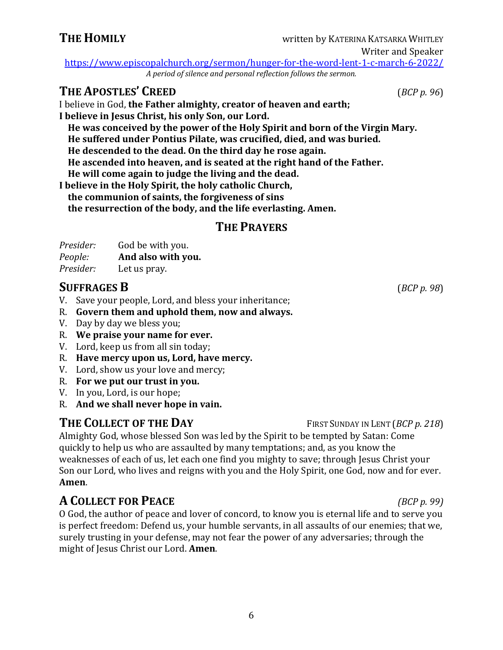https://www.episcopalchurch.org/sermon/hunger-for-the-word-lent-1-c-march-6-2022/ *A period of silence and personal reflection follows the sermon.*

## **THE APOSTLES' CREED** (*BCP p.* 96)

I believe in God, the Father almighty, creator of heaven and earth; I believe in Jesus Christ, his only Son, our Lord.

He was conceived by the power of the Holy Spirit and born of the Virgin Mary.

He suffered under Pontius Pilate, was crucified, died, and was buried.

He descended to the dead. On the third day he rose again.

He ascended into heaven, and is seated at the right hand of the Father.

He will come again to judge the living and the dead.

I believe in the Holy Spirit, the holy catholic Church,

 **the communion of saints, the forgiveness of sins**

**the resurrection of the body, and the life everlasting. Amen.** 

# **THE PRAYERS**

*Presider:* God be with you. *People:* **And also with you.** *Presider:* Let us pray.

#### **SUFFRAGES B** (*BCP p.* 98)

- V. Save your people, Lord, and bless your inheritance;
- R. Govern them and uphold them, now and always.
- V. Day by day we bless you;
- R. We praise your name for ever.
- V. Lord, keep us from all sin today;
- R. Have mercy upon us, Lord, have mercy.
- V. Lord, show us your love and mercy;
- R. For we put our trust in you.
- V. In you, Lord, is our hope;
- R. And we shall never hope in vain.

Almighty God, whose blessed Son was led by the Spirit to be tempted by Satan: Come quickly to help us who are assaulted by many temptations; and, as you know the weaknesses of each of us, let each one find you mighty to save; through Jesus Christ your Son our Lord, who lives and reigns with you and the Holy Spirit, one God, now and for ever. **Amen**.

# **A COLLECT** FOR **PEACE** *(BCP p.* 99)

O God, the author of peace and lover of concord, to know you is eternal life and to serve you is perfect freedom: Defend us, your humble servants, in all assaults of our enemies; that we, surely trusting in your defense, may not fear the power of any adversaries; through the might of Jesus Christ our Lord. **Amen.** 

**THE COLLECT OF THE DAY** FIRST SUNDAY IN LENT (*BCP* p. 218)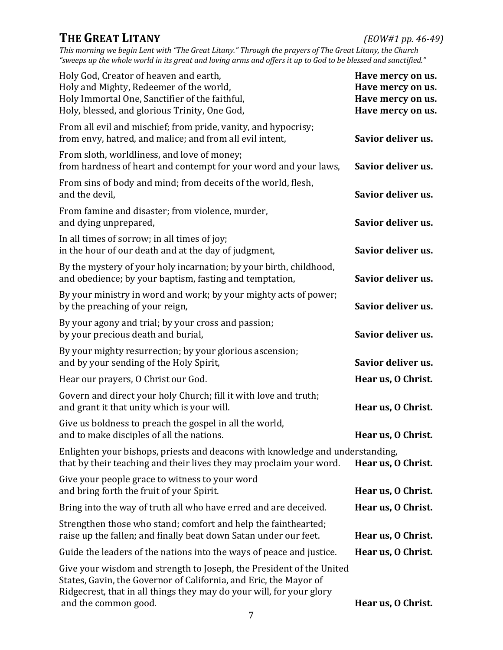### **THE GREAT LITANY** *(EOW#1 pp. 46-49)*

This morning we begin Lent with "The Great Litany." Through the prayers of The Great Litany, the Church *"sweeps up the whole world in its great and loving arms and offers it up to God to be blessed and sanctified."*

| Holy God, Creator of heaven and earth,<br>Holy and Mighty, Redeemer of the world,<br>Holy Immortal One, Sanctifier of the faithful,<br>Holy, blessed, and glorious Trinity, One God,                                                      | Have mercy on us.<br>Have mercy on us.<br>Have mercy on us.<br>Have mercy on us. |
|-------------------------------------------------------------------------------------------------------------------------------------------------------------------------------------------------------------------------------------------|----------------------------------------------------------------------------------|
| From all evil and mischief; from pride, vanity, and hypocrisy;<br>from envy, hatred, and malice; and from all evil intent,                                                                                                                | Savior deliver us.                                                               |
| From sloth, worldliness, and love of money;<br>from hardness of heart and contempt for your word and your laws,                                                                                                                           | Savior deliver us.                                                               |
| From sins of body and mind; from deceits of the world, flesh,<br>and the devil,                                                                                                                                                           | Savior deliver us.                                                               |
| From famine and disaster; from violence, murder,<br>and dying unprepared,                                                                                                                                                                 | Savior deliver us.                                                               |
| In all times of sorrow; in all times of joy;<br>in the hour of our death and at the day of judgment,                                                                                                                                      | Savior deliver us.                                                               |
| By the mystery of your holy incarnation; by your birth, childhood,<br>and obedience; by your baptism, fasting and temptation,                                                                                                             | Savior deliver us.                                                               |
| By your ministry in word and work; by your mighty acts of power;<br>by the preaching of your reign,                                                                                                                                       | Savior deliver us.                                                               |
| By your agony and trial; by your cross and passion;<br>by your precious death and burial,                                                                                                                                                 | Savior deliver us.                                                               |
| By your mighty resurrection; by your glorious ascension;<br>and by your sending of the Holy Spirit,                                                                                                                                       | Savior deliver us.                                                               |
| Hear our prayers, O Christ our God.                                                                                                                                                                                                       | Hear us, O Christ.                                                               |
| Govern and direct your holy Church; fill it with love and truth;<br>and grant it that unity which is your will.                                                                                                                           | Hear us, O Christ.                                                               |
| Give us boldness to preach the gospel in all the world,<br>and to make disciples of all the nations.                                                                                                                                      | Hear us, O Christ.                                                               |
| Enlighten your bishops, priests and deacons with knowledge and understanding,<br>that by their teaching and their lives they may proclaim your word.                                                                                      | Hear us, O Christ.                                                               |
| Give your people grace to witness to your word<br>and bring forth the fruit of your Spirit.                                                                                                                                               | Hear us, O Christ.                                                               |
| Bring into the way of truth all who have erred and are deceived.                                                                                                                                                                          | Hear us, O Christ.                                                               |
| Strengthen those who stand; comfort and help the fainthearted;<br>raise up the fallen; and finally beat down Satan under our feet.                                                                                                        | Hear us, O Christ.                                                               |
| Guide the leaders of the nations into the ways of peace and justice.                                                                                                                                                                      | Hear us, O Christ.                                                               |
| Give your wisdom and strength to Joseph, the President of the United<br>States, Gavin, the Governor of California, and Eric, the Mayor of<br>Ridgecrest, that in all things they may do your will, for your glory<br>and the common good. | Hear us, O Christ.                                                               |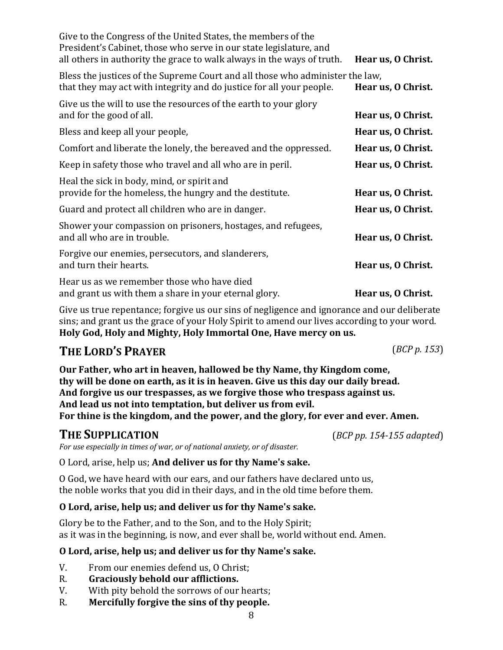| Give to the Congress of the United States, the members of the<br>President's Cabinet, those who serve in our state legislature, and<br>all others in authority the grace to walk always in the ways of truth. | Hear us, O Christ. |
|---------------------------------------------------------------------------------------------------------------------------------------------------------------------------------------------------------------|--------------------|
| Bless the justices of the Supreme Court and all those who administer the law,<br>that they may act with integrity and do justice for all your people.                                                         | Hear us, O Christ. |
| Give us the will to use the resources of the earth to your glory<br>and for the good of all.                                                                                                                  | Hear us, O Christ. |
| Bless and keep all your people,                                                                                                                                                                               | Hear us, O Christ. |
| Comfort and liberate the lonely, the bereaved and the oppressed.                                                                                                                                              | Hear us, O Christ. |
| Keep in safety those who travel and all who are in peril.                                                                                                                                                     | Hear us, O Christ. |
| Heal the sick in body, mind, or spirit and<br>provide for the homeless, the hungry and the destitute.                                                                                                         | Hear us, O Christ. |
| Guard and protect all children who are in danger.                                                                                                                                                             | Hear us, O Christ. |
| Shower your compassion on prisoners, hostages, and refugees,<br>and all who are in trouble.                                                                                                                   | Hear us, O Christ. |
| Forgive our enemies, persecutors, and slanderers,<br>and turn their hearts.                                                                                                                                   | Hear us, O Christ. |
| Hear us as we remember those who have died<br>and grant us with them a share in your eternal glory.                                                                                                           | Hear us, O Christ. |
|                                                                                                                                                                                                               |                    |

Give us true repentance; forgive us our sins of negligence and ignorance and our deliberate sins; and grant us the grace of your Holy Spirit to amend our lives according to your word. Holy God, Holy and Mighty, Holy Immortal One, Have mercy on us.

### **THE LORD'S PRAYER** (*BCP p.* 153)

**Our Father, who art in heaven, hallowed be thy Name, thy Kingdom come,** thy will be done on earth, as it is in heaven. Give us this day our daily bread. And forgive us our trespasses, as we forgive those who trespass against us. And lead us not into temptation, but deliver us from evil. For thine is the kingdom, and the power, and the glory, for ever and ever. Amen.

### **THE SUPPLICATION** (*BCP pp.* 154-155 *adapted*)

For use especially in times of war, or of national anxiety, or of disaster.

O Lord, arise, help us; And deliver us for thy Name's sake.

 $G$ ives to the  $G$  congress of the United  $G$  total  $\alpha$ , the members of the

O God, we have heard with our ears, and our fathers have declared unto us, the noble works that you did in their days, and in the old time before them.

#### **O** Lord, arise, help us; and deliver us for thy Name's sake.

Glory be to the Father, and to the Son, and to the Holy Spirit; as it was in the beginning, is now, and ever shall be, world without end. Amen.

#### **O** Lord, arise, help us; and deliver us for thy Name's sake.

- V. From our enemies defend us, O Christ:
- R. Graciously behold our afflictions.
- V. With pity behold the sorrows of our hearts;
- R. Mercifully forgive the sins of thy people.